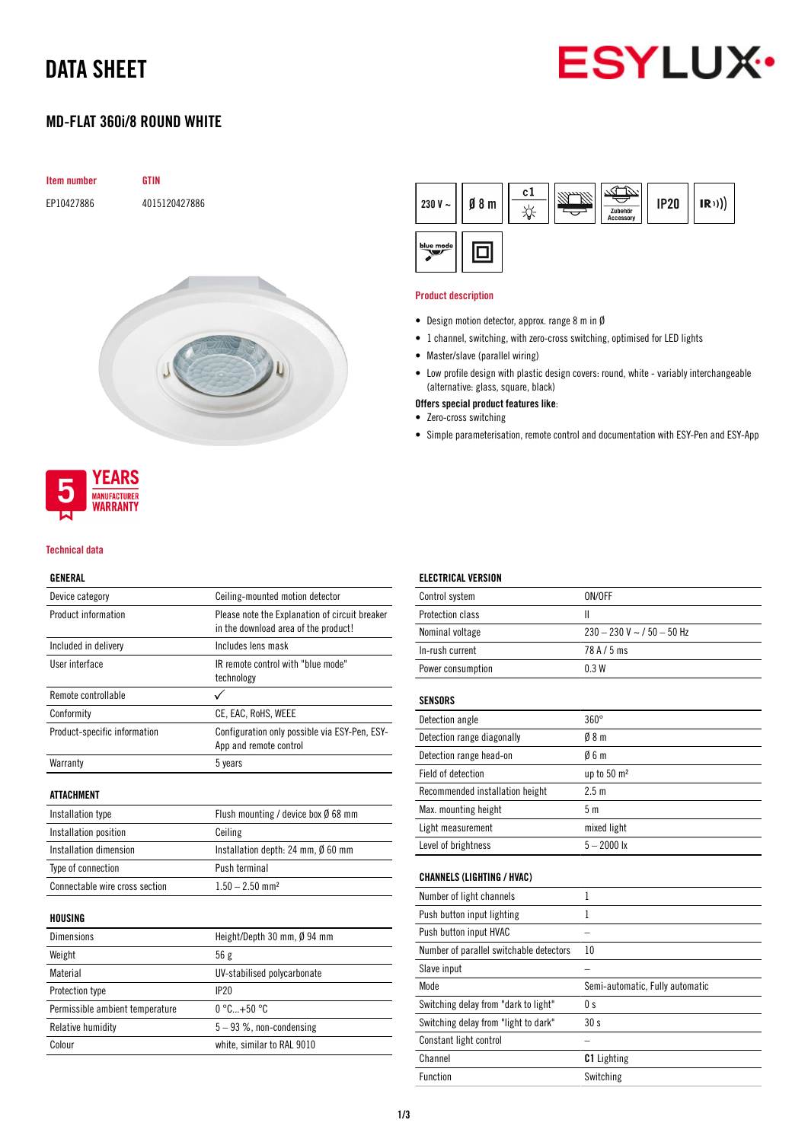# DATA SHEET



## MD-FLAT 360i/8 ROUND WHITE





#### Technical data

### GENERAL

| ulnlral                         |                                                                                        |  |
|---------------------------------|----------------------------------------------------------------------------------------|--|
| Device category                 | Ceiling-mounted motion detector                                                        |  |
| Product information             | Please note the Explanation of circuit breaker<br>in the download area of the product! |  |
| Included in delivery            | Includes lens mask                                                                     |  |
| User interface                  | IR remote control with "blue mode"<br>technology                                       |  |
| Remote controllable             | ✓                                                                                      |  |
| Conformity                      | CE, EAC, RoHS, WEEE                                                                    |  |
| Product-specific information    | Configuration only possible via ESY-Pen, ESY-<br>App and remote control                |  |
| Warranty                        | 5 years                                                                                |  |
| ATTACHMENT                      |                                                                                        |  |
| Installation type               | Flush mounting / device box $\emptyset$ 68 mm                                          |  |
| Installation position           | Ceiling                                                                                |  |
| Installation dimension          | Installation depth: 24 mm, Ø 60 mm                                                     |  |
| Type of connection              | Push terminal                                                                          |  |
| Connectable wire cross section  | $1.50 - 2.50$ mm <sup>2</sup>                                                          |  |
| HOUSING                         |                                                                                        |  |
| <b>Dimensions</b>               | Height/Depth 30 mm, Ø 94 mm                                                            |  |
| Weight                          | 56 g                                                                                   |  |
| Material                        | UV-stabilised polycarbonate                                                            |  |
| Protection type                 | IP20                                                                                   |  |
| Permissible ambient temperature | $0^{\circ}$ C+50 $^{\circ}$ C                                                          |  |
|                                 |                                                                                        |  |

Relative humidity  $5 - 93$  %, non-condensing Colour white, similar to RAL 9010



#### Product description

- Design motion detector, approx. range 8 m in Ø
- 1 channel, switching, with zero-cross switching, optimised for LED lights
- Master/slave (parallel wiring)
- Low profile design with plastic design covers: round, white variably interchangeable (alternative: glass, square, black)
- Offers special product features like:
- Zero-cross switching

ELECTRICAL VERSION

• Simple parameterisation, remote control and documentation with ESY-Pen and ESY-App

| Control system                          | ON/OFF                          |
|-----------------------------------------|---------------------------------|
| Protection class                        | $\mathbf{I}$                    |
| Nominal voltage                         | $230 - 230$ V ~ / 50 - 50 Hz    |
| In-rush current                         | 78 A / 5 ms                     |
| Power consumption                       | 0.3W                            |
| <b>SENSORS</b>                          |                                 |
| Detection angle                         | $360^\circ$                     |
| Detection range diagonally              | 08 <sub>m</sub>                 |
| Detection range head-on                 | 06m                             |
| <b>Field of detection</b>               | up to 50 m <sup>2</sup>         |
| Recommended installation height         | 2.5 <sub>m</sub>                |
| Max. mounting height                    | 5 <sub>m</sub>                  |
| Light measurement                       | mixed light                     |
| Level of brightness                     | $5 - 2000$ lx                   |
| <b>CHANNELS (LIGHTING / HVAC)</b>       |                                 |
| Number of light channels                | 1                               |
| Push button input lighting              | 1                               |
| Push button input HVAC                  |                                 |
| Number of parallel switchable detectors | 10                              |
| Slave input                             |                                 |
| Mode                                    | Semi-automatic, Fully automatic |
| Switching delay from "dark to light"    | 0 s                             |
| Switching delay from "light to dark"    | 30s                             |
| Constant light control                  |                                 |
| Channel                                 | <b>C1</b> Lighting              |
| <b>Function</b>                         | Switching                       |
|                                         |                                 |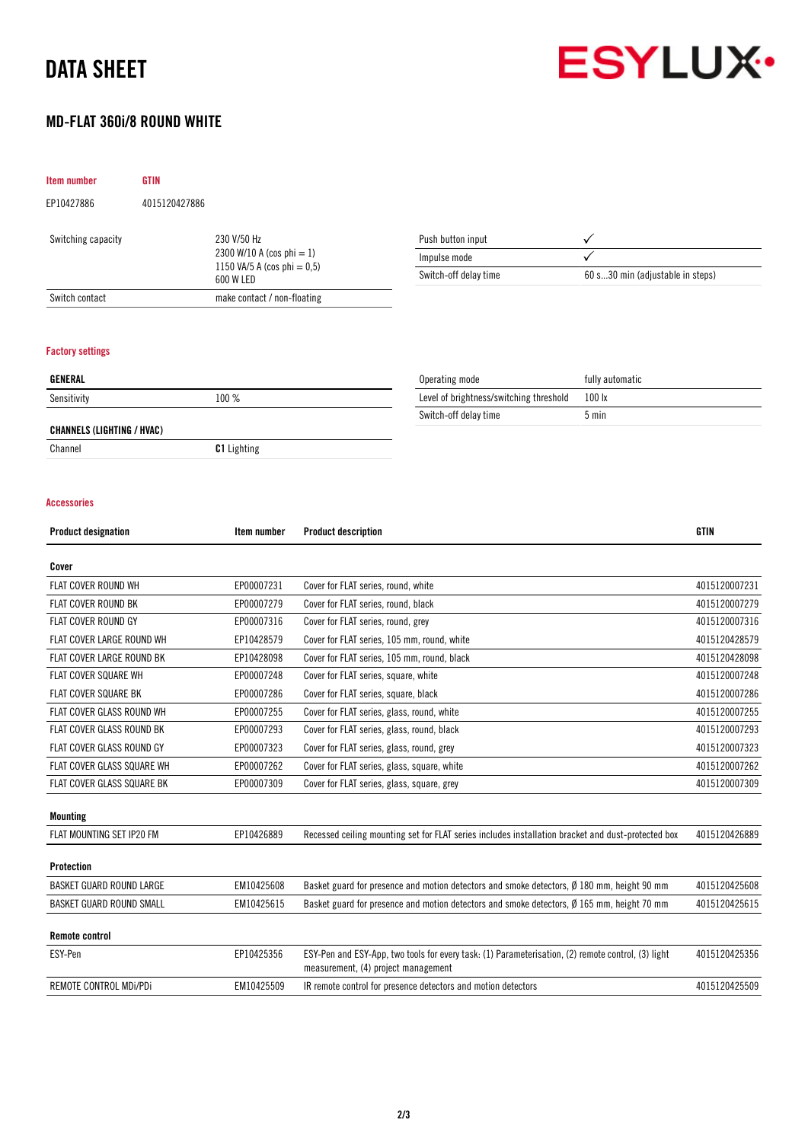# DATA SHEET



## MD-FLAT 360i/8 ROUND WHITE

|                                    | <b>GTIN</b>                                 |                                                           |                                  |
|------------------------------------|---------------------------------------------|-----------------------------------------------------------|----------------------------------|
| EP10427886                         | 4015120427886                               |                                                           |                                  |
| Switching capacity                 | 230 V/50 Hz                                 | Push button input                                         | ✓                                |
|                                    | 2300 W/10 A (cos phi = 1)                   | Impulse mode                                              | ✓                                |
|                                    | 1150 VA/5 A (cos phi = $0,5$ )<br>600 W LED | Switch-off delay time                                     | 60 s30 min (adjustable in steps) |
|                                    |                                             |                                                           |                                  |
| Switch contact                     | make contact / non-floating                 |                                                           |                                  |
| <b>Factory settings</b><br>GENERAL |                                             |                                                           | fully automatic                  |
| Sensitivity                        | 100 %                                       | Operating mode<br>Level of brightness/switching threshold | 100 lx                           |
|                                    |                                             | Switch-off delay time                                     | $5 \text{ min}$                  |
| <b>CHANNELS (LIGHTING / HVAC)</b>  |                                             |                                                           |                                  |

#### Accessories

| <b>Product designation</b>      | Item number | <b>Product description</b>                                                                                                                | <b>GTIN</b>   |
|---------------------------------|-------------|-------------------------------------------------------------------------------------------------------------------------------------------|---------------|
| Cover                           |             |                                                                                                                                           |               |
| <b>FLAT COVER ROUND WH</b>      | EP00007231  | Cover for FLAT series, round, white                                                                                                       | 4015120007231 |
| <b>FLAT COVER ROUND BK</b>      | EP00007279  | Cover for FLAT series, round, black                                                                                                       | 4015120007279 |
| <b>FLAT COVER ROUND GY</b>      | EP00007316  | Cover for FLAT series, round, grey                                                                                                        | 4015120007316 |
| FLAT COVER LARGE ROUND WH       | EP10428579  | Cover for FLAT series, 105 mm, round, white                                                                                               | 4015120428579 |
| FLAT COVER LARGE ROUND BK       | EP10428098  | Cover for FLAT series, 105 mm, round, black                                                                                               | 4015120428098 |
| <b>FLAT COVER SQUARE WH</b>     | EP00007248  | Cover for FLAT series, square, white                                                                                                      | 4015120007248 |
| <b>FLAT COVER SQUARE BK</b>     | EP00007286  | Cover for FLAT series, square, black                                                                                                      | 4015120007286 |
| FLAT COVER GLASS ROUND WH       | EP00007255  | Cover for FLAT series, glass, round, white                                                                                                | 4015120007255 |
| FLAT COVER GLASS ROUND BK       | EP00007293  | Cover for FLAT series, glass, round, black                                                                                                | 4015120007293 |
| FLAT COVER GLASS ROUND GY       | EP00007323  | Cover for FLAT series, glass, round, grey                                                                                                 | 4015120007323 |
| FLAT COVER GLASS SQUARE WH      | EP00007262  | Cover for FLAT series, glass, square, white                                                                                               | 4015120007262 |
| FLAT COVER GLASS SQUARE BK      | EP00007309  | Cover for FLAT series, glass, square, grey                                                                                                | 4015120007309 |
| <b>Mounting</b>                 |             |                                                                                                                                           |               |
| FLAT MOUNTING SET IP20 FM       | EP10426889  | Recessed ceiling mounting set for FLAT series includes installation bracket and dust-protected box                                        | 4015120426889 |
| <b>Protection</b>               |             |                                                                                                                                           |               |
| <b>BASKET GUARD ROUND LARGE</b> | EM10425608  | Basket guard for presence and motion detectors and smoke detectors, Ø 180 mm, height 90 mm                                                | 4015120425608 |
| BASKET GUARD ROUND SMALL        | EM10425615  | Basket guard for presence and motion detectors and smoke detectors, Ø 165 mm, height 70 mm                                                | 4015120425615 |
| <b>Remote control</b>           |             |                                                                                                                                           |               |
| ESY-Pen                         | EP10425356  | ESY-Pen and ESY-App, two tools for every task: (1) Parameterisation, (2) remote control, (3) light<br>measurement, (4) project management | 4015120425356 |
| REMOTE CONTROL MDi/PDi          | EM10425509  | IR remote control for presence detectors and motion detectors                                                                             | 4015120425509 |